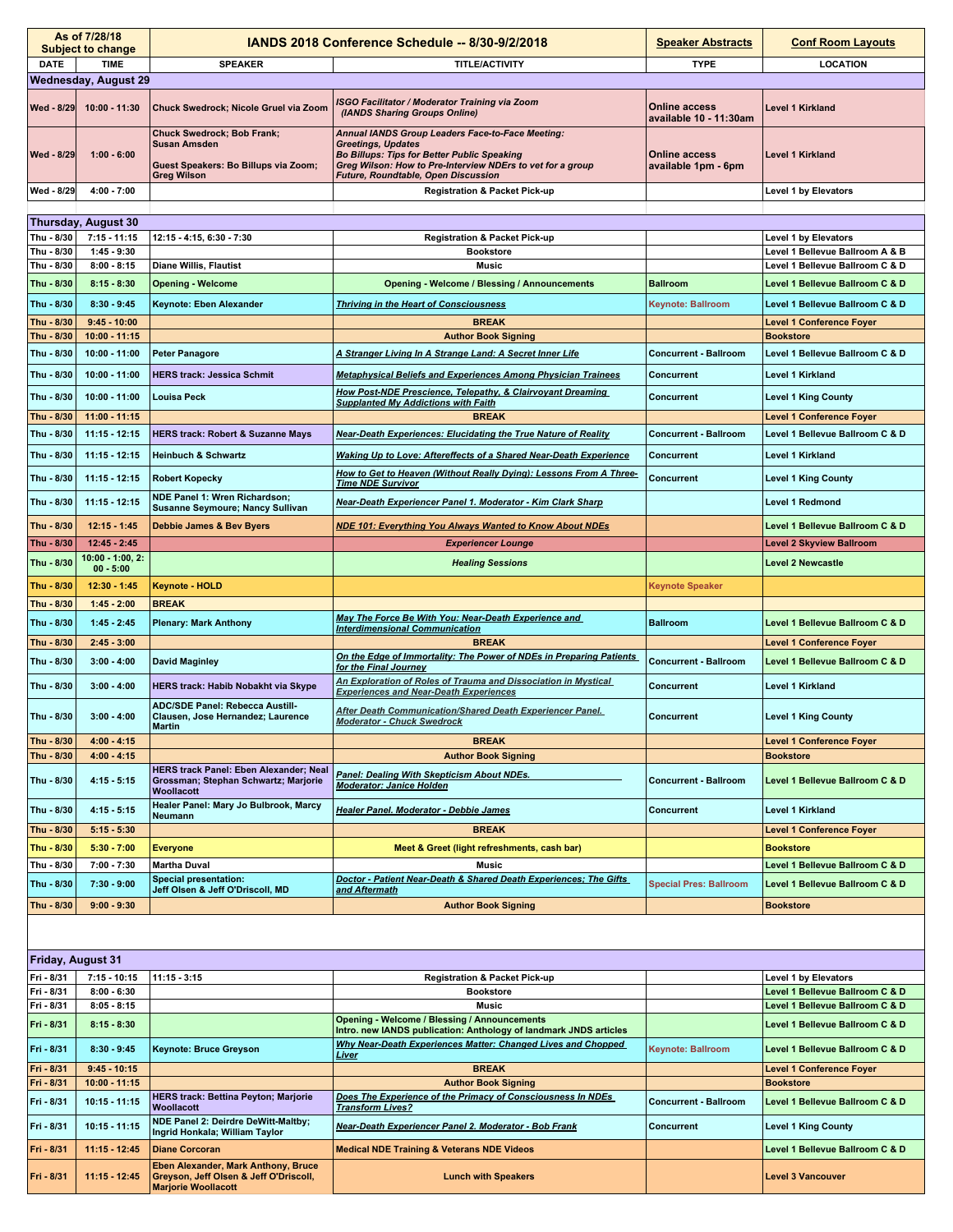|  |                             | As of 7/28/18<br><b>Subject to change</b> |                                                                                                                 | <b>IANDS 2018 Conference Schedule -- 8/30-9/2/2018</b>                                                                                                                                                                                          | <b>Speaker Abstracts</b>                       | <b>Conf Room Layouts</b>    |  |
|--|-----------------------------|-------------------------------------------|-----------------------------------------------------------------------------------------------------------------|-------------------------------------------------------------------------------------------------------------------------------------------------------------------------------------------------------------------------------------------------|------------------------------------------------|-----------------------------|--|
|  | <b>DATE</b>                 | <b>TIME</b>                               | <b>SPEAKER</b>                                                                                                  | <b>TITLE/ACTIVITY</b>                                                                                                                                                                                                                           | <b>TYPE</b>                                    | <b>LOCATION</b>             |  |
|  | <b>Wednesday, August 29</b> |                                           |                                                                                                                 |                                                                                                                                                                                                                                                 |                                                |                             |  |
|  | Wed - 8/29                  | 10:00 - 11:30                             | Chuck Swedrock; Nicole Gruel via Zoom                                                                           | <b>ISGO Facilitator / Moderator Training via Zoom</b><br>(IANDS Sharing Groups Online)                                                                                                                                                          | <b>Online access</b><br>available 10 - 11:30am | Level 1 Kirkland            |  |
|  | Wed - 8/29                  | $1:00 - 6:00$                             | Chuck Swedrock; Bob Frank;<br><b>Susan Amsden</b><br>Guest Speakers: Bo Billups via Zoom;<br><b>Greg Wilson</b> | Annual IANDS Group Leaders Face-to-Face Meeting:<br><b>Greetings, Updates</b><br><b>Bo Billups: Tips for Better Public Speaking</b><br>Greg Wilson: How to Pre-Interview NDErs to vet for a group<br><b>Future, Roundtable, Open Discussion</b> | <b>Online access</b><br>available 1pm - 6pm    | Level 1 Kirkland            |  |
|  | Wed - 8/29                  | $4:00 - 7:00$                             |                                                                                                                 | <b>Registration &amp; Packet Pick-up</b>                                                                                                                                                                                                        |                                                | <b>Level 1 by Elevators</b> |  |
|  |                             |                                           |                                                                                                                 |                                                                                                                                                                                                                                                 |                                                |                             |  |

| <b>Thursday, August 30</b>                                                    |                                    |                                                                                                     |                                                                                                                                  |                               |                                                               |  |  |
|-------------------------------------------------------------------------------|------------------------------------|-----------------------------------------------------------------------------------------------------|----------------------------------------------------------------------------------------------------------------------------------|-------------------------------|---------------------------------------------------------------|--|--|
| Thu - 8/30                                                                    | $7:15 - 11:15$                     | 12:15 - 4:15, 6:30 - 7:30                                                                           | <b>Registration &amp; Packet Pick-up</b>                                                                                         |                               | Level 1 by Elevators                                          |  |  |
| Thu - 8/30                                                                    | $1:45 - 9:30$                      |                                                                                                     | <b>Bookstore</b>                                                                                                                 |                               | Level 1 Bellevue Ballroom A & B                               |  |  |
| Thu - 8/30                                                                    | $8:00 - 8:15$                      | <b>Diane Willis, Flautist</b>                                                                       | <b>Music</b>                                                                                                                     |                               | Level 1 Bellevue Ballroom C & D                               |  |  |
| Thu - 8/30                                                                    | $8:15 - 8:30$                      | <b>Opening - Welcome</b>                                                                            | <b>Opening - Welcome / Blessing / Announcements</b>                                                                              | <b>Ballroom</b>               | Level 1 Bellevue Ballroom C & D                               |  |  |
| Thu - 8/30                                                                    | $8:30 - 9:45$                      | Keynote: Eben Alexander                                                                             | <b>Thriving in the Heart of Consciousness</b>                                                                                    | <b>Keynote: Ballroom</b>      | Level 1 Bellevue Ballroom C & D                               |  |  |
| Thu - 8/30                                                                    | $9:45 - 10:00$                     |                                                                                                     | <b>BREAK</b>                                                                                                                     |                               | <b>Level 1 Conference Foyer</b>                               |  |  |
| Thu - 8/30                                                                    | $10:00 - 11:15$                    |                                                                                                     | <b>Author Book Signing</b>                                                                                                       |                               | <b>Bookstore</b>                                              |  |  |
|                                                                               |                                    |                                                                                                     |                                                                                                                                  |                               |                                                               |  |  |
| Thu - 8/30<br>Thu - 8/30                                                      | $10:00 - 11:00$<br>$10:00 - 11:00$ | <b>Peter Panagore</b><br><b>HERS track: Jessica Schmit</b>                                          | A Stranger Living In A Strange Land: A Secret Inner Life<br><b>Metaphysical Beliefs and Experiences Among Physician Trainees</b> | <b>Concurrent - Ballroom</b>  | Level 1 Bellevue Ballroom C & D<br>Level 1 Kirkland           |  |  |
|                                                                               |                                    |                                                                                                     | How Post-NDE Prescience, Telepathy, & Clairvoyant Dreaming                                                                       | Concurrent                    |                                                               |  |  |
| Thu - 8/30<br>Thu - 8/30                                                      | 10:00 - 11:00<br>11:00 - 11:15     | <b>Louisa Peck</b>                                                                                  | <b>Supplanted My Addictions with Faith</b><br><b>BREAK</b>                                                                       | Concurrent                    | <b>Level 1 King County</b><br><b>Level 1 Conference Foyer</b> |  |  |
|                                                                               |                                    |                                                                                                     |                                                                                                                                  |                               |                                                               |  |  |
| Thu - 8/30                                                                    | $11:15 - 12:15$                    | <b>HERS track: Robert &amp; Suzanne Mays</b>                                                        | Near-Death Experiences: Elucidating the True Nature of Reality                                                                   | <b>Concurrent - Ballroom</b>  | Level 1 Bellevue Ballroom C & D                               |  |  |
| Thu - 8/30                                                                    | $11:15 - 12:15$                    | <b>Heinbuch &amp; Schwartz</b>                                                                      | Waking Up to Love: Aftereffects of a Shared Near-Death Experience                                                                | Concurrent                    | Level 1 Kirkland                                              |  |  |
| Thu - 8/30                                                                    | $11:15 - 12:15$                    | <b>Robert Kopecky</b>                                                                               | How to Get to Heaven (Without Really Dying): Lessons From A Three-<br><b>Time NDE Survivor</b>                                   | Concurrent                    | <b>Level 1 King County</b>                                    |  |  |
| Thu - 8/30                                                                    | $11:15 - 12:15$                    | NDE Panel 1: Wren Richardson;<br>Susanne Seymoure; Nancy Sullivan                                   | Near-Death Experiencer Panel 1. Moderator - Kim Clark Sharp                                                                      |                               | <b>Level 1 Redmond</b>                                        |  |  |
| Thu - 8/30                                                                    | $12:15 - 1:45$                     | Debbie James & Bev Byers                                                                            | <b>NDE 101: Everything You Always Wanted to Know About NDEs</b>                                                                  |                               | Level 1 Bellevue Ballroom C & D                               |  |  |
| Thu - 8/30                                                                    | $12:45 - 2:45$                     |                                                                                                     | <b>Experiencer Lounge</b>                                                                                                        |                               | <b>Level 2 Skyview Ballroom</b>                               |  |  |
| Thu - 8/30                                                                    | $10:00 - 1:00, 2:$<br>$00 - 5:00$  |                                                                                                     | <b>Healing Sessions</b>                                                                                                          |                               | <b>Level 2 Newcastle</b>                                      |  |  |
| Thu - 8/30                                                                    | $12:30 - 1:45$                     | <b>Keynote - HOLD</b>                                                                               |                                                                                                                                  | <b>Keynote Speaker</b>        |                                                               |  |  |
| Thu - 8/30                                                                    | $1:45 - 2:00$                      | <b>BREAK</b>                                                                                        |                                                                                                                                  |                               |                                                               |  |  |
| Thu - 8/30                                                                    | $1:45 - 2:45$                      | <b>Plenary: Mark Anthony</b>                                                                        | May The Force Be With You: Near-Death Experience and<br><b>Interdimensional Communication</b>                                    | <b>Ballroom</b>               | Level 1 Bellevue Ballroom C & D                               |  |  |
| Thu - 8/30                                                                    | $2:45 - 3:00$                      |                                                                                                     | <b>BREAK</b>                                                                                                                     |                               | <b>Level 1 Conference Foyer</b>                               |  |  |
| Thu - 8/30                                                                    | $3:00 - 4:00$                      | <b>David Maginley</b>                                                                               | On the Edge of Immortality: The Power of NDEs in Preparing Patients<br>for the Final Journey                                     | <b>Concurrent - Ballroom</b>  | Level 1 Bellevue Ballroom C & D                               |  |  |
| Thu - 8/30                                                                    | $3:00 - 4:00$                      | <b>HERS track: Habib Nobakht via Skype</b>                                                          | An Exploration of Roles of Trauma and Dissociation in Mystical<br><b>Experiences and Near-Death Experiences</b>                  | <b>Concurrent</b>             | Level 1 Kirkland                                              |  |  |
| Thu - 8/30                                                                    | $3:00 - 4:00$                      | <b>ADC/SDE Panel: Rebecca Austill-</b><br>Clausen, Jose Hernandez; Laurence<br><b>Martin</b>        | After Death Communication/Shared Death Experiencer Panel.<br><b>Moderator - Chuck Swedrock</b>                                   | <b>Concurrent</b>             | <b>Level 1 King County</b>                                    |  |  |
| Thu - 8/30                                                                    | $4:00 - 4:15$                      |                                                                                                     | <b>BREAK</b>                                                                                                                     |                               | <b>Level 1 Conference Foyer</b>                               |  |  |
| Thu - 8/30                                                                    | $4:00 - 4:15$                      |                                                                                                     | <b>Author Book Signing</b>                                                                                                       |                               | <b>Bookstore</b>                                              |  |  |
| Thu - 8/30                                                                    | $4:15 - 5:15$                      | <b>HERS track Panel: Eben Alexander; Neal</b><br>Grossman; Stephan Schwartz; Marjorie<br>Woollacott | Panel: Dealing With Skepticism About NDEs.<br><b>Moderator: Janice Holden</b>                                                    | <b>Concurrent - Ballroom</b>  | Level 1 Bellevue Ballroom C & D                               |  |  |
| Thu - 8/30                                                                    | $4:15 - 5:15$                      | Healer Panel: Mary Jo Bulbrook, Marcy<br><b>Neumann</b>                                             | Healer Panel. Moderator - Debbie James                                                                                           | Concurrent                    | Level 1 Kirkland                                              |  |  |
| Thu - 8/30                                                                    | $5:15 - 5:30$                      |                                                                                                     | <b>BREAK</b>                                                                                                                     |                               | <b>Level 1 Conference Foyer</b>                               |  |  |
| Thu - 8/30                                                                    | $5:30 - 7:00$                      | <b>Everyone</b>                                                                                     | Meet & Greet (light refreshments, cash bar)                                                                                      |                               | <b>Bookstore</b>                                              |  |  |
| Thu - 8/30                                                                    | $7:00 - 7:30$                      | <b>Martha Duval</b>                                                                                 | <b>Music</b>                                                                                                                     |                               | Level 1 Bellevue Ballroom C & D                               |  |  |
| Thu - 8/30                                                                    | $7:30 - 9:00$                      | <b>Special presentation:</b><br>Jeff Olsen & Jeff O'Driscoll, MD                                    | Doctor - Patient Near-Death & Shared Death Experiences; The Gifts<br>and Aftermath                                               | <b>Special Pres: Ballroom</b> | Level 1 Bellevue Ballroom C & D                               |  |  |
|                                                                               |                                    |                                                                                                     |                                                                                                                                  |                               |                                                               |  |  |
| Thu - 8/30<br>$9:00 - 9:30$<br><b>Bookstore</b><br><b>Author Book Signing</b> |                                    |                                                                                                     |                                                                                                                                  |                               |                                                               |  |  |
|                                                                               | Friday, August 31                  |                                                                                                     |                                                                                                                                  |                               |                                                               |  |  |
| Fri - 8/31                                                                    | $7:15 - 10:15$                     | $11:15 - 3:15$                                                                                      | <b>Registration &amp; Packet Pick-up</b>                                                                                         |                               | Level 1 by Elevators                                          |  |  |
| Fri - 8/31                                                                    | $8:00 - 6:30$                      |                                                                                                     | <b>Bookstore</b>                                                                                                                 |                               | Level 1 Bellevue Ballroom C & D                               |  |  |
| Fri - 8/31                                                                    | $8:05 - 8:15$                      |                                                                                                     | <b>Music</b>                                                                                                                     |                               | Level 1 Bellevue Ballroom C & D                               |  |  |
| Fri - 8/31                                                                    | $8:15 - 8:30$                      |                                                                                                     | <b>Opening - Welcome / Blessing / Announcements</b><br>Intro. new IANDS publication: Anthology of landmark JNDS articles         |                               | Level 1 Bellevue Ballroom C & D                               |  |  |
| Fri - 8/31                                                                    | $8:30 - 9:45$                      | Keynote: Bruce Greyson                                                                              | Why Near-Death Experiences Matter: Changed Lives and Chopped<br>Liver                                                            | <b>Keynote: Ballroom</b>      | Level 1 Bellevue Ballroom C & D                               |  |  |
| Fri - 8/31                                                                    | $9:45 - 10:15$                     |                                                                                                     | <b>BREAK</b>                                                                                                                     |                               | <b>Level 1 Conference Foyer</b>                               |  |  |
| Fri - 8/31                                                                    | $10:00 - 11:15$                    |                                                                                                     | <b>Author Book Signing</b>                                                                                                       |                               | <b>Bookstore</b>                                              |  |  |
| Fri - 8/31                                                                    | $10:15 - 11:15$                    | <b>HERS track: Bettina Peyton; Marjorie</b><br>Woollacott                                           | Does The Experience of the Primacy of Consciousness In NDEs<br><b>Transform Lives?</b>                                           | <b>Concurrent - Ballroom</b>  | Level 1 Bellevue Ballroom C & D                               |  |  |
| Fri - 8/31                                                                    | $10:15 - 11:15$                    | NDE Panel 2: Deirdre DeWitt-Maltby;<br>Ingrid Honkala; William Taylor                               | Near-Death Experiencer Panel 2. Moderator - Bob Frank                                                                            | Concurrent                    | <b>Level 1 King County</b>                                    |  |  |
| Fri - 8/31                                                                    | 11:15 - 12:45                      | <b>Diane Corcoran</b>                                                                               | <b>Medical NDE Training &amp; Veterans NDE Videos</b>                                                                            |                               | Level 1 Bellevue Ballroom C & D                               |  |  |

**Lunch with Speakers Level 3 Vancouver**

**Fri - 8/31 11:15 - 12:45**

**Eben Alexander, Mark Anthony, Bruce Greyson, Jeff Olsen & Jeff O'Driscoll, Marjorie Woollacott**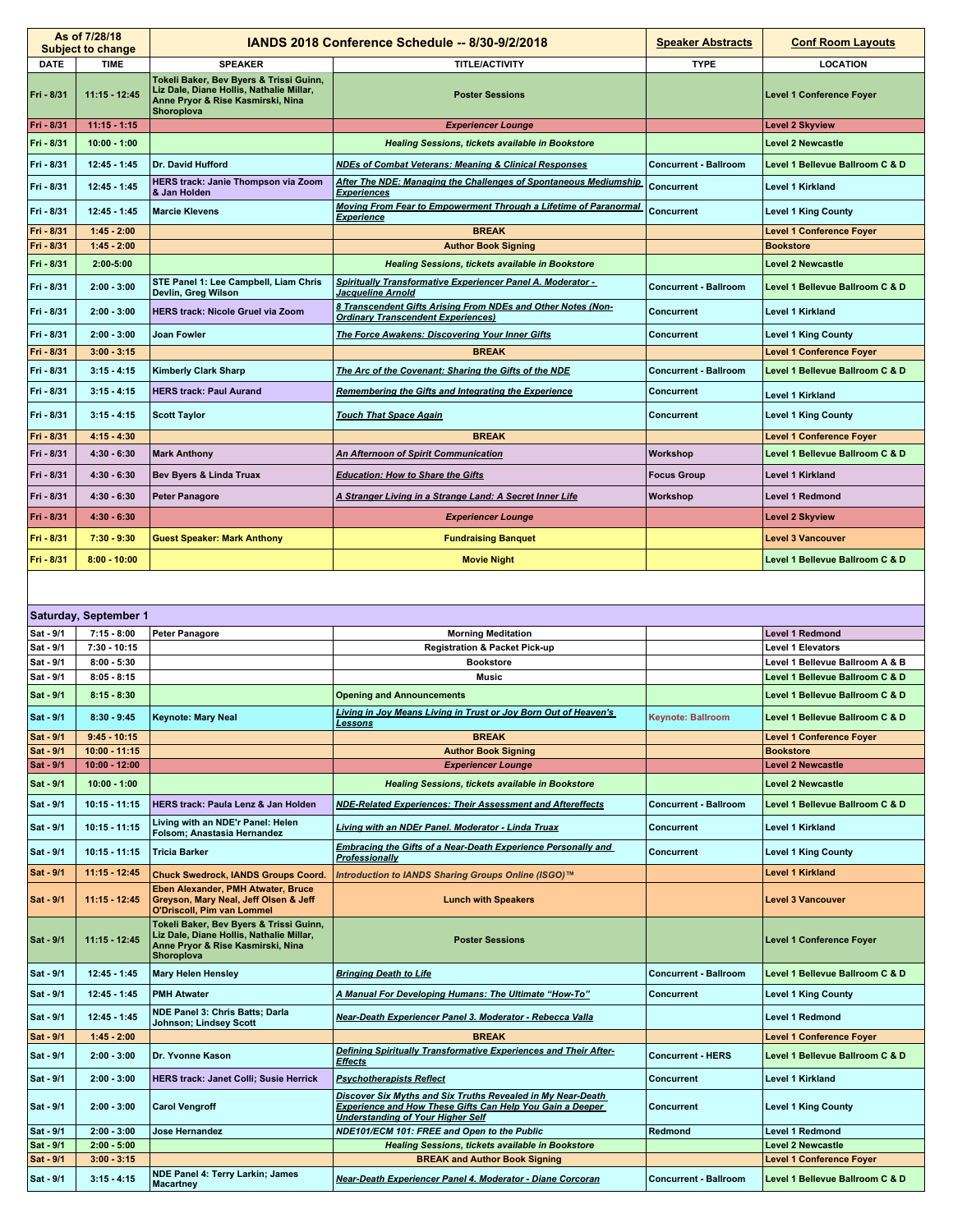| As of 7/28/18<br><b>Subject to change</b> |                                   | <b>IANDS 2018 Conference Schedule -- 8/30-9/2/2018</b>                                                                                        |                                                                                                                                                                             | <b>Speaker Abstracts</b>     | <b>Conf Room Layouts</b>                                    |
|-------------------------------------------|-----------------------------------|-----------------------------------------------------------------------------------------------------------------------------------------------|-----------------------------------------------------------------------------------------------------------------------------------------------------------------------------|------------------------------|-------------------------------------------------------------|
| <b>DATE</b>                               | <b>TIME</b>                       | <b>SPEAKER</b>                                                                                                                                | <b>TITLE/ACTIVITY</b>                                                                                                                                                       | <b>TYPE</b>                  | <b>LOCATION</b>                                             |
| Fri - 8/31                                | $11:15 - 12:45$                   | Tokeli Baker, Bev Byers & Trissi Guinn,<br>Liz Dale, Diane Hollis, Nathalie Millar,<br>Anne Pryor & Rise Kasmirski, Nina<br><b>Shoroplova</b> | <b>Poster Sessions</b>                                                                                                                                                      |                              | <b>Level 1 Conference Foyer</b>                             |
| Fri - 8/31                                | $11:15 - 1:15$                    |                                                                                                                                               | <b>Experiencer Lounge</b>                                                                                                                                                   |                              | <b>Level 2 Skyview</b>                                      |
| Fri - 8/31                                | $10:00 - 1:00$                    |                                                                                                                                               | <b>Healing Sessions, tickets available in Bookstore</b>                                                                                                                     |                              | <b>Level 2 Newcastle</b>                                    |
| Fri - 8/31                                | $12:45 - 1:45$                    | Dr. David Hufford                                                                                                                             | <b>NDEs of Combat Veterans: Meaning &amp; Clinical Responses</b>                                                                                                            | <b>Concurrent - Ballroom</b> | Level 1 Bellevue Ballroom C & D                             |
| Fri - 8/31                                | $12:45 - 1:45$                    | <b>HERS track: Janie Thompson via Zoom</b><br>& Jan Holden                                                                                    | After The NDE: Managing the Challenges of Spontaneous Mediumship<br><b>Experiences</b>                                                                                      | Concurrent                   | Level 1 Kirkland                                            |
| Fri - 8/31                                | $12:45 - 1:45$                    | <b>Marcie Klevens</b>                                                                                                                         | Moving From Fear to Empowerment Through a Lifetime of Paranormal<br><b>Experience</b>                                                                                       | Concurrent                   | <b>Level 1 King County</b>                                  |
| Fri - 8/31                                | $1:45 - 2:00$                     |                                                                                                                                               | <b>BREAK</b>                                                                                                                                                                |                              | <b>Level 1 Conference Foyer</b>                             |
| Fri - 8/31                                | $1:45 - 2:00$                     |                                                                                                                                               | <b>Author Book Signing</b>                                                                                                                                                  |                              | <b>Bookstore</b>                                            |
| Fri - 8/31                                | $2:00 - 5:00$                     |                                                                                                                                               | <b>Healing Sessions, tickets available in Bookstore</b>                                                                                                                     |                              | <b>Level 2 Newcastle</b>                                    |
| Fri - 8/31                                | $2:00 - 3:00$                     | STE Panel 1: Lee Campbell, Liam Chris<br>Devlin, Greg Wilson                                                                                  | <b>Spiritually Transformative Experiencer Panel A. Moderator -</b><br><u>Jacqueline Arnold</u>                                                                              | <b>Concurrent - Ballroom</b> | Level 1 Bellevue Ballroom C & D                             |
| Fri - 8/31                                | $2:00 - 3:00$                     | <b>HERS track: Nicole Gruel via Zoom</b>                                                                                                      | 8 Transcendent Gifts Arising From NDEs and Other Notes (Non-<br><b>Ordinary Transcendent Experiences)</b>                                                                   | Concurrent                   | Level 1 Kirkland                                            |
| Fri - 8/31                                | $2:00 - 3:00$                     | <b>Joan Fowler</b>                                                                                                                            | The Force Awakens: Discovering Your Inner Gifts                                                                                                                             | Concurrent                   | <b>Level 1 King County</b>                                  |
| Fri - 8/31                                | $3:00 - 3:15$                     |                                                                                                                                               | <b>BREAK</b>                                                                                                                                                                |                              | <b>Level 1 Conference Foyer</b>                             |
| Fri - 8/31                                | $3:15 - 4:15$                     | <b>Kimberly Clark Sharp</b>                                                                                                                   | The Arc of the Covenant: Sharing the Gifts of the NDE                                                                                                                       | <b>Concurrent - Ballroom</b> | Level 1 Bellevue Ballroom C & D                             |
| Fri - 8/31                                | $3:15 - 4:15$                     | <b>HERS track: Paul Aurand</b>                                                                                                                | Remembering the Gifts and Integrating the Experience                                                                                                                        | Concurrent                   | Level 1 Kirkland                                            |
| Fri - 8/31                                | $3:15 - 4:15$                     | <b>Scott Taylor</b>                                                                                                                           | <b>Touch That Space Again</b>                                                                                                                                               | Concurrent                   | <b>Level 1 King County</b>                                  |
| Fri - 8/31                                | $4:15 - 4:30$                     |                                                                                                                                               | <b>BREAK</b>                                                                                                                                                                |                              | <b>Level 1 Conference Foyer</b>                             |
| Fri - 8/31                                | $4:30 - 6:30$                     | <b>Mark Anthony</b>                                                                                                                           | An Afternoon of Spirit Communication                                                                                                                                        | Workshop                     | Level 1 Bellevue Ballroom C & D                             |
| Fri - 8/31                                | $4:30 - 6:30$                     | Bev Byers & Linda Truax                                                                                                                       | <b>Education: How to Share the Gifts</b>                                                                                                                                    | <b>Focus Group</b>           | Level 1 Kirkland                                            |
| Fri - 8/31                                | $4:30 - 6:30$                     | <b>Peter Panagore</b>                                                                                                                         | A Stranger Living in a Strange Land: A Secret Inner Life                                                                                                                    | Workshop                     | Level 1 Redmond                                             |
|                                           |                                   |                                                                                                                                               |                                                                                                                                                                             |                              |                                                             |
| Fri - 8/31                                | $4:30 - 6:30$                     |                                                                                                                                               | <b>Experiencer Lounge</b>                                                                                                                                                   |                              | Level 2 Skyview                                             |
| Fri - 8/31                                | $7:30 - 9:30$                     | <b>Guest Speaker: Mark Anthony</b>                                                                                                            | <b>Fundraising Banquet</b>                                                                                                                                                  |                              | <b>Level 3 Vancouver</b>                                    |
| Fri - 8/31                                | $8:00 - 10:00$                    |                                                                                                                                               | <b>Movie Night</b>                                                                                                                                                          |                              | Level 1 Bellevue Ballroom C & D                             |
|                                           | Saturday, September 1             |                                                                                                                                               |                                                                                                                                                                             |                              |                                                             |
| Sat - 9/1                                 | $7:15 - 8:00$                     | <b>Peter Panagore</b>                                                                                                                         | <b>Morning Meditation</b>                                                                                                                                                   |                              | <b>Level 1 Redmond</b>                                      |
| Sat - 9/1<br>Sat - 9/1                    | $7:30 - 10:15$<br>$8:00 - 5:30$   |                                                                                                                                               | Registration & Packet Pick-up<br><b>Bookstore</b>                                                                                                                           |                              | <b>Level 1 Elevators</b><br>Level 1 Bellevue Ballroom A & B |
| Sat - 9/1                                 | $8:05 - 8:15$                     |                                                                                                                                               | <b>Music</b>                                                                                                                                                                |                              | Level 1 Bellevue Ballroom C & D                             |
| Sat - 9/1                                 | $8:15 - 8:30$                     |                                                                                                                                               | <b>Opening and Announcements</b>                                                                                                                                            |                              | Level 1 Bellevue Ballroom C & D                             |
| Sat - 9/1                                 | $8:30 - 9:45$                     | <b>Keynote: Mary Neal</b>                                                                                                                     | Living in Joy Means Living in Trust or Joy Born Out of Heaven's<br><b>Lessons</b>                                                                                           | <b>Keynote: Ballroom</b>     | Level 1 Bellevue Ballroom C & D                             |
| Sat - 9/1                                 | $9:45 - 10:15$                    |                                                                                                                                               | <b>BREAK</b>                                                                                                                                                                |                              | <b>Level 1 Conference Foyer</b>                             |
| Sat - 9/1                                 | $10:00 - 11:15$                   |                                                                                                                                               | <b>Author Book Signing</b>                                                                                                                                                  |                              | <b>Bookstore</b>                                            |
| Sat - 9/1                                 | $10:00 - 12:00$                   |                                                                                                                                               | <b>Experiencer Lounge</b>                                                                                                                                                   |                              | <b>Level 2 Newcastle</b>                                    |
| Sat - 9/1<br>Sat - 9/1                    | $10:00 - 1:00$<br>$10:15 - 11:15$ | <b>HERS track: Paula Lenz &amp; Jan Holden</b>                                                                                                | <b>Healing Sessions, tickets available in Bookstore</b><br><b>NDE-Related Experiences: Their Assessment and Aftereffects</b>                                                | <b>Concurrent - Ballroom</b> | <b>Level 2 Newcastle</b><br>Level 1 Bellevue Ballroom C & D |
| Sat - 9/1                                 | $10:15 - 11:15$                   | Living with an NDE'r Panel: Helen                                                                                                             | Living with an NDEr Panel. Moderator - Linda Truax                                                                                                                          | Concurrent                   | Level 1 Kirkland                                            |
| Sat - 9/1                                 | $10:15 - 11:15$                   | Folsom; Anastasia Hernandez<br><b>Tricia Barker</b>                                                                                           | Embracing the Gifts of a Near-Death Experience Personally and                                                                                                               | Concurrent                   | <b>Level 1 King County</b>                                  |
| Sat - 9/1                                 | $11:15 - 12:45$                   |                                                                                                                                               | Professionally                                                                                                                                                              |                              | <b>Level 1 Kirkland</b>                                     |
|                                           |                                   | <b>Chuck Swedrock, IANDS Groups Coord.</b><br>Eben Alexander, PMH Atwater, Bruce                                                              | Introduction to IANDS Sharing Groups Online (ISGO)™                                                                                                                         |                              |                                                             |
| Sat - 9/1                                 | $11:15 - 12:45$                   | Greyson, Mary Neal, Jeff Olsen & Jeff<br><b>O'Driscoll, Pim van Lommel</b>                                                                    | <b>Lunch with Speakers</b>                                                                                                                                                  |                              | <b>Level 3 Vancouver</b>                                    |
| Sat - 9/1                                 | $11:15 - 12:45$                   | Tokeli Baker, Bev Byers & Trissi Guinn,<br>Liz Dale, Diane Hollis, Nathalie Millar,<br>Anne Pryor & Rise Kasmirski, Nina<br><b>Shoroplova</b> | <b>Poster Sessions</b>                                                                                                                                                      |                              | <b>Level 1 Conference Foyer</b>                             |
| Sat - 9/1                                 | 12:45 1:45                        | <b>Mary Helen Hensley</b>                                                                                                                     | <b>Bringing Death to Life</b>                                                                                                                                               | <b>Concurrent - Ballroom</b> | Level 1 Bellevue Ballroom C & D                             |
| Sat - 9/1                                 | 12:45 1:45                        | <b>PMH Atwater</b>                                                                                                                            | A Manual For Developing Humans: The Ultimate "How-To"                                                                                                                       | Concurrent                   | <b>Level 1 King County</b>                                  |
| Sat - 9/1                                 | $12:45 - 1:45$                    | NDE Panel 3: Chris Batts; Darla<br>Johnson; Lindsey Scott                                                                                     | Near-Death Experiencer Panel 3. Moderator - Rebecca Valla                                                                                                                   |                              | Level 1 Redmond                                             |
| Sat - 9/1                                 | $1:45 - 2:00$                     |                                                                                                                                               | <b>BREAK</b>                                                                                                                                                                |                              | <b>Level 1 Conference Foyer</b>                             |
| Sat - 9/1                                 | $2:00 - 3:00$                     | Dr. Yvonne Kason                                                                                                                              | Defining Spiritually Transformative Experiences and Their After-<br><b>Effects</b>                                                                                          | <b>Concurrent - HERS</b>     | Level 1 Bellevue Ballroom C & D                             |
| Sat - 9/1                                 | $2:00 - 3:00$                     | <b>HERS track: Janet Colli; Susie Herrick</b>                                                                                                 | <b>Psychotherapists Reflect</b>                                                                                                                                             | Concurrent                   | Level 1 Kirkland                                            |
| Sat - 9/1                                 | $2:00 - 3:00$                     | <b>Carol Vengroff</b>                                                                                                                         | Discover Six Myths and Six Truths Revealed in My Near-Death<br><b>Experience and How These Gifts Can Help You Gain a Deeper</b><br><b>Understanding of Your Higher Self</b> | Concurrent                   | <b>Level 1 King County</b>                                  |
| Sat - 9/1<br>Sat - 9/1                    | $2:00 - 3:00$<br>$2:00 - 5:00$    | Jose Hernandez                                                                                                                                | NDE101/ECM 101: FREE and Open to the Public<br><b>Healing Sessions, tickets available in Bookstore</b>                                                                      | Redmond                      | Level 1 Redmond<br><b>Level 2 Newcastle</b>                 |
| Sat - 9/1                                 | $3:00 - 3:15$                     |                                                                                                                                               | <b>BREAK and Author Book Signing</b>                                                                                                                                        |                              | <b>Level 1 Conference Foyer</b>                             |
| Sat - 9/1                                 | $3:15 - 4:15$                     | NDE Panel 4: Terry Larkin; James<br><b>Macartney</b>                                                                                          | Near-Death Experiencer Panel 4. Moderator - Diane Corcoran                                                                                                                  | <b>Concurrent - Ballroom</b> | Level 1 Bellevue Ballroom C & D                             |